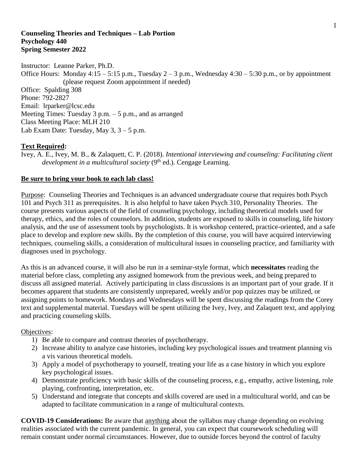#### **Counseling Theories and Techniques – Lab Portion Psychology 440 Spring Semester 2022**

Instructor: Leanne Parker, Ph.D. Office Hours: Monday  $4:15 - 5:15$  p.m., Tuesday  $2 - 3$  p.m., Wednesday  $4:30 - 5:30$  p.m., or by appointment (please request Zoom appointment if needed) Office: Spalding 308 Phone: 792-2827 Email: lrparker@lcsc.edu Meeting Times: Tuesday 3 p.m. – 5 p.m., and as arranged Class Meeting Place: MLH 210 Lab Exam Date: Tuesday, May  $3, 3 - 5$  p.m.

## **Text Required:**

Ivey, A. E., Ivey, M. B., & Zalaquett, C. P. (2018). *Intentional interviewing and counseling: Facilitating client*  development in a multicultural society (9<sup>th</sup> ed.). Cengage Learning.

#### **Be sure to bring your book to each lab class!**

Purpose: Counseling Theories and Techniques is an advanced undergraduate course that requires both Psych 101 and Psych 311 as prerequisites. It is also helpful to have taken Psych 310, Personality Theories. The course presents various aspects of the field of counseling psychology, including theoretical models used for therapy, ethics, and the roles of counselors. In addition, students are exposed to skills in counseling, life history analysis, and the use of assessment tools by psychologists. It is workshop centered, practice-oriented, and a safe place to develop and explore new skills. By the completion of this course, you will have acquired interviewing techniques, counseling skills, a consideration of multicultural issues in counseling practice, and familiarity with diagnoses used in psychology.

As this is an advanced course, it will also be run in a seminar-style format, which **necessitates** reading the material before class, completing any assigned homework from the previous week, and being prepared to discuss all assigned material. Actively participating in class discussions is an important part of your grade. If it becomes apparent that students are consistently unprepared, weekly and/or pop quizzes may be utilized, or assigning points to homework. Mondays and Wednesdays will be spent discussing the readings from the Corey text and supplemental material. Tuesdays will be spent utilizing the Ivey, Ivey, and Zalaquett text, and applying and practicing counseling skills.

#### Objectives:

- 1) Be able to compare and contrast theories of psychotherapy.
- 2) Increase ability to analyze case histories, including key psychological issues and treatment planning vis a vis various theoretical models.
- 3) Apply a model of psychotherapy to yourself, treating your life as a case history in which you explore key psychological issues.
- 4) Demonstrate proficiency with basic skills of the counseling process, e.g., empathy, active listening, role playing, confronting, interpretation, etc.
- 5) Understand and integrate that concepts and skills covered are used in a multicultural world, and can be adapted to facilitate communication in a range of multicultural contexts.

**COVID-19 Considerations:** Be aware that anything about the syllabus may change depending on evolving realities associated with the current pandemic. In general, you can expect that coursework scheduling will remain constant under normal circumstances. However, due to outside forces beyond the control of faculty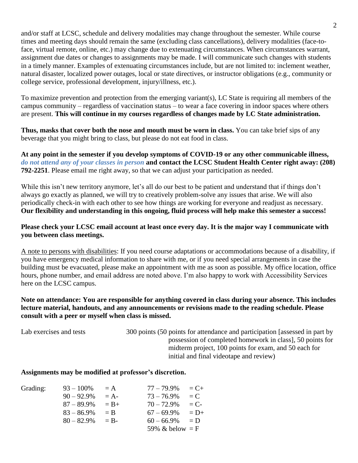and/or staff at LCSC, schedule and delivery modalities may change throughout the semester. While course times and meeting days should remain the same (excluding class cancellations), delivery modalities (face-toface, virtual remote, online, etc.) may change due to extenuating circumstances. When circumstances warrant, assignment due dates or changes to assignments may be made. I will communicate such changes with students in a timely manner. Examples of extenuating circumstances include, but are not limited to: inclement weather, natural disaster, localized power outages, local or state directives, or instructor obligations (e.g., community or college service, professional development, injury/illness, etc.).

To maximize prevention and protection from the emerging variant(s), LC State is requiring all members of the campus community – regardless of vaccination status – to wear a face covering in indoor spaces where others are present. **This will continue in my courses regardless of changes made by LC State administration.**

**Thus, masks that cover both the nose and mouth must be worn in class.** You can take brief sips of any beverage that you might bring to class, but please do not eat food in class.

**At any point in the semester if you develop symptoms of COVID-19 or any other communicable illness,**  *do not attend any of your classes in person* **and contact the LCSC Student Health Center right away: (208) 792-2251**. Please email me right away, so that we can adjust your participation as needed.

While this isn't new territory anymore, let's all do our best to be patient and understand that if things don't always go exactly as planned, we will try to creatively problem-solve any issues that arise. We will also periodically check-in with each other to see how things are working for everyone and readjust as necessary. **Our flexibility and understanding in this ongoing, fluid process will help make this semester a success!**

## **Please check your LCSC email account at least once every day. It is the major way I communicate with you between class meetings.**

A note to persons with disabilities: If you need course adaptations or accommodations because of a disability, if you have emergency medical information to share with me, or if you need special arrangements in case the building must be evacuated, please make an appointment with me as soon as possible. My office location, office hours, phone number, and email address are noted above. I'm also happy to work with Accessibility Services here on the LCSC campus.

## **Note on attendance: You are responsible for anything covered in class during your absence. This includes lecture material, handouts, and any announcements or revisions made to the reading schedule. Please consult with a peer or myself when class is missed.**

Lab exercises and tests 300 points (50 points for attendance and participation [assessed in part by possession of completed homework in class], 50 points for midterm project, 100 points for exam, and 50 each for initial and final videotape and review)

#### **Assignments may be modified at professor's discretion.**

| Grading: | $93 - 100\%$  | $= A$   | $77 - 79.9\%$     | $C_{\pm}$ |
|----------|---------------|---------|-------------------|-----------|
|          | $90 - 92.9\%$ | $= A -$ | $73 - 76.9\%$     | $= C$     |
|          | $87 - 89.9\%$ | $= B +$ | $70 - 72.9\%$     | $= C$ -   |
|          | $83 - 86.9\%$ | $=$ B   | $67 - 69.9\%$     | $= D+$    |
|          | $80 - 82.9\%$ | $=$ R-  | $60 - 66.9\%$     | $= D$     |
|          |               |         | 59% & below $=$ F |           |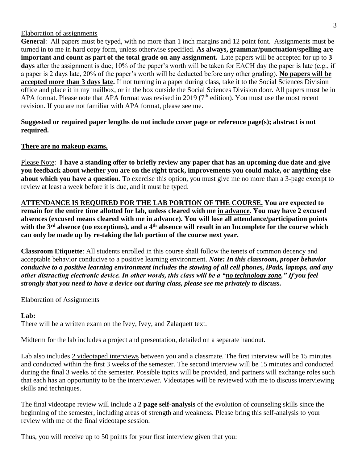#### Elaboration of assignments

**General**: All papers must be typed, with no more than 1 inch margins and 12 point font. Assignments must be turned in to me in hard copy form, unless otherwise specified. **As always, grammar/punctuation/spelling are important and count as part of the total grade on any assignment.** Late papers will be accepted for up to **3 days** after the assignment is due; 10% of the paper's worth will be taken for EACH day the paper is late (e.g., if a paper is 2 days late, 20% of the paper's worth will be deducted before any other grading). **No papers will be accepted more than 3 days late.** If not turning in a paper during class, take it to the Social Sciences Division office and place it in my mailbox, or in the box outside the Social Sciences Division door. All papers must be in APA format. Please note that APA format was revised in 2019 (7<sup>th</sup> edition). You must use the most recent revision. If you are not familiar with APA format, please see me.

**Suggested or required paper lengths do not include cover page or reference page(s); abstract is not required.**

## **There are no makeup exams.**

Please Note: **I have a standing offer to briefly review any paper that has an upcoming due date and give you feedback about whether you are on the right track, improvements you could make, or anything else about which you have a question.** To exercise this option, you must give me no more than a 3-page excerpt to review at least a week before it is due, and it must be typed.

**ATTENDANCE IS REQUIRED FOR THE LAB PORTION OF THE COURSE. You are expected to remain for the entire time allotted for lab, unless cleared with me in advance. You may have 2 excused absences (excused means cleared with me in advance). You will lose all attendance/participation points with the 3rd absence (no exceptions), and a 4th absence will result in an Incomplete for the course which can only be made up by re-taking the lab portion of the course next year.**

**Classroom Etiquette**: All students enrolled in this course shall follow the tenets of common decency and acceptable behavior conducive to a positive learning environment. *Note: In this classroom, proper behavior conducive to a positive learning environment includes the stowing of all cell phones, iPads, laptops, and any other distracting electronic device. In other words, this class will be a "no technology zone." If you feel strongly that you need to have a device out during class, please see me privately to discuss.*

#### Elaboration of Assignments

#### **Lab:**

There will be a written exam on the Ivey, Ivey, and Zalaquett text.

Midterm for the lab includes a project and presentation, detailed on a separate handout.

Lab also includes 2 videotaped interviews between you and a classmate. The first interview will be 15 minutes and conducted within the first 3 weeks of the semester. The second interview will be 15 minutes and conducted during the final 3 weeks of the semester. Possible topics will be provided, and partners will exchange roles such that each has an opportunity to be the interviewer. Videotapes will be reviewed with me to discuss interviewing skills and techniques.

The final videotape review will include a **2 page self-analysis** of the evolution of counseling skills since the beginning of the semester, including areas of strength and weakness. Please bring this self-analysis to your review with me of the final videotape session.

Thus, you will receive up to 50 points for your first interview given that you: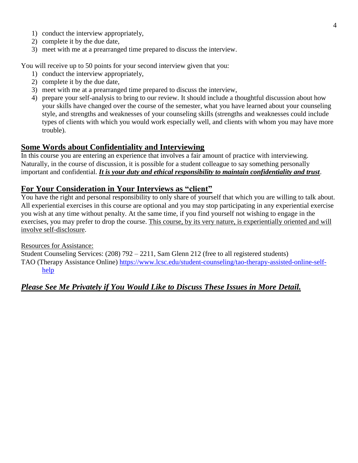- 1) conduct the interview appropriately,
- 2) complete it by the due date,
- 3) meet with me at a prearranged time prepared to discuss the interview.

You will receive up to 50 points for your second interview given that you:

- 1) conduct the interview appropriately,
- 2) complete it by the due date,
- 3) meet with me at a prearranged time prepared to discuss the interview,
- 4) prepare your self-analysis to bring to our review. It should include a thoughtful discussion about how your skills have changed over the course of the semester, what you have learned about your counseling style, and strengths and weaknesses of your counseling skills (strengths and weaknesses could include types of clients with which you would work especially well, and clients with whom you may have more trouble).

# **Some Words about Confidentiality and Interviewing**

In this course you are entering an experience that involves a fair amount of practice with interviewing. Naturally, in the course of discussion, it is possible for a student colleague to say something personally important and confidential. *It is your duty and ethical responsibility to maintain confidentiality and trust*.

# **For Your Consideration in Your Interviews as "client"**

You have the right and personal responsibility to only share of yourself that which you are willing to talk about. All experiential exercises in this course are optional and you may stop participating in any experiential exercise you wish at any time without penalty. At the same time, if you find yourself not wishing to engage in the exercises, you may prefer to drop the course. This course, by its very nature, is experientially oriented and will involve self-disclosure.

#### Resources for Assistance:

Student Counseling Services: (208) 792 – 2211, Sam Glenn 212 (free to all registered students) TAO (Therapy Assistance Online) [https://www.lcsc.edu/student-counseling/tao-therapy-assisted-online-self](https://www.lcsc.edu/student-counseling/tao-therapy-assisted-online-self-help)[help](https://www.lcsc.edu/student-counseling/tao-therapy-assisted-online-self-help)

# *Please See Me Privately if You Would Like to Discuss These Issues in More Detail.*